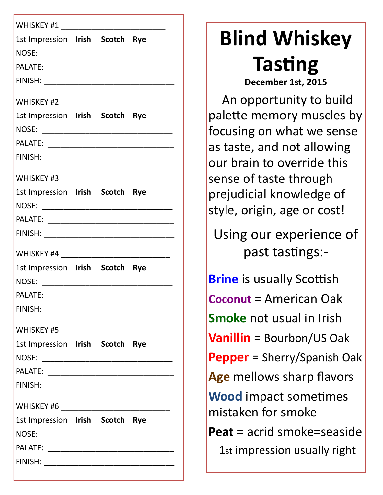| WHISKEY #1                            |  |  |
|---------------------------------------|--|--|
| 1st Impression Irish Scotch Rye       |  |  |
|                                       |  |  |
|                                       |  |  |
|                                       |  |  |
|                                       |  |  |
| 1st Impression Irish Scotch Rye       |  |  |
|                                       |  |  |
|                                       |  |  |
|                                       |  |  |
| WHISKEY #3                            |  |  |
| 1st Impression Irish Scotch Rye       |  |  |
|                                       |  |  |
|                                       |  |  |
|                                       |  |  |
|                                       |  |  |
| 1st Impression Irish Scotch Rye       |  |  |
| NOSE:                                 |  |  |
| PALATE:                               |  |  |
| FINISH: _____________________         |  |  |
|                                       |  |  |
| 1st Impression Irish Scotch Rye       |  |  |
|                                       |  |  |
|                                       |  |  |
| FINISH: _____________________________ |  |  |
|                                       |  |  |
| 1st Impression Irish Scotch Rye       |  |  |
|                                       |  |  |
|                                       |  |  |
|                                       |  |  |
|                                       |  |  |

# **Blind Whiskey Tasting December 1st, 2015**

 An opportunity to build palette memory muscles by focusing on what we sense as taste, and not allowing our brain to override this sense of taste through prejudicial knowledge of style, origin, age or cost!

Using our experience of past tastings:-

**Brine** is usually Scottish **Coconut** = American Oak **Smoke** not usual in Irish **Vanillin** = Bourbon/US Oak **Pepper** = Sherry/Spanish Oak **Age** mellows sharp flavors **Wood** impact sometimes mistaken for smoke **Peat** = acrid smoke=seaside

1st impression usually right